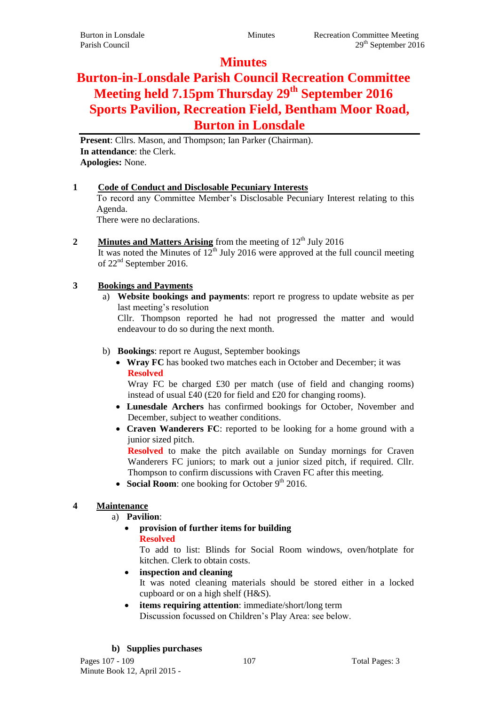# **Minutes**

# **Burton-in-Lonsdale Parish Council Recreation Committee Meeting held 7.15pm Thursday 29th September 2016 Sports Pavilion, Recreation Field, Bentham Moor Road, Burton in Lonsdale**

**Present**: Cllrs. Mason, and Thompson; Ian Parker (Chairman). **In attendance**: the Clerk. **Apologies:** None.

### **1 Code of Conduct and Disclosable Pecuniary Interests**

To record any Committee Member's Disclosable Pecuniary Interest relating to this Agenda.

There were no declarations.

**2 Minutes and Matters Arising** from the meeting of 12<sup>th</sup> July 2016

It was noted the Minutes of  $12<sup>th</sup>$  July 2016 were approved at the full council meeting of 22nd September 2016.

# **3 Bookings and Payments**

a) **Website bookings and payments**: report re progress to update website as per last meeting's resolution

Cllr. Thompson reported he had not progressed the matter and would endeavour to do so during the next month.

### b) **Bookings**: report re August, September bookings

 **Wray FC** has booked two matches each in October and December; it was **Resolved**

Wray FC be charged £30 per match (use of field and changing rooms) instead of usual £40 (£20 for field and £20 for changing rooms).

- **Lunesdale Archers** has confirmed bookings for October, November and December, subject to weather conditions.
- **Craven Wanderers FC**: reported to be looking for a home ground with a junior sized pitch.

**Resolved** to make the pitch available on Sunday mornings for Craven Wanderers FC juniors; to mark out a junior sized pitch, if required. Cllr. Thompson to confirm discussions with Craven FC after this meeting.

• Social Room: one booking for October 9<sup>th</sup> 2016.

# **4 Maintenance**

a) **Pavilion**:

 **provision of further items for building Resolved**

To add to list: Blinds for Social Room windows, oven/hotplate for kitchen. Clerk to obtain costs.

**inspection and cleaning**

It was noted cleaning materials should be stored either in a locked cupboard or on a high shelf (H&S).

 **items requiring attention**: immediate/short/long term Discussion focussed on Children's Play Area: see below.

# **b) Supplies purchases**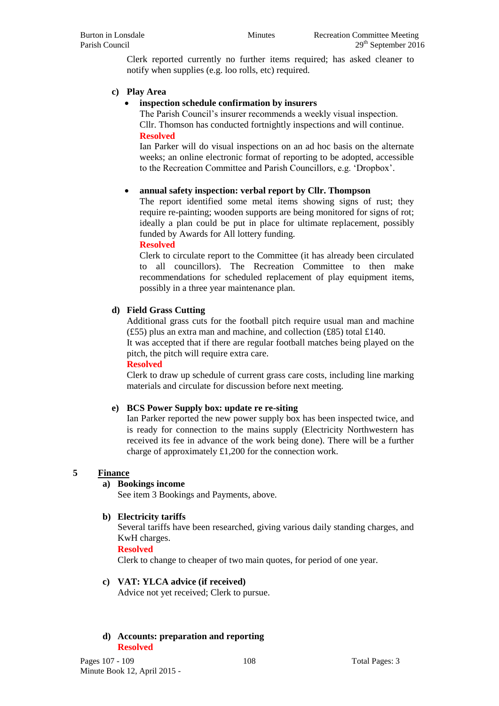Clerk reported currently no further items required; has asked cleaner to notify when supplies (e.g. loo rolls, etc) required.

#### **c) Play Area**

#### **inspection schedule confirmation by insurers**

The Parish Council's insurer recommends a weekly visual inspection. Cllr. Thomson has conducted fortnightly inspections and will continue. **Resolved**

Ian Parker will do visual inspections on an ad hoc basis on the alternate weeks; an online electronic format of reporting to be adopted, accessible to the Recreation Committee and Parish Councillors, e.g. 'Dropbox'.

### **annual safety inspection: verbal report by Cllr. Thompson**

The report identified some metal items showing signs of rust; they require re-painting; wooden supports are being monitored for signs of rot; ideally a plan could be put in place for ultimate replacement, possibly funded by Awards for All lottery funding.

**Resolved**

Clerk to circulate report to the Committee (it has already been circulated to all councillors). The Recreation Committee to then make recommendations for scheduled replacement of play equipment items, possibly in a three year maintenance plan.

#### **d) Field Grass Cutting**

Additional grass cuts for the football pitch require usual man and machine (£55) plus an extra man and machine, and collection (£85) total £140.

It was accepted that if there are regular football matches being played on the pitch, the pitch will require extra care.

#### **Resolved**

Clerk to draw up schedule of current grass care costs, including line marking materials and circulate for discussion before next meeting.

#### **e) BCS Power Supply box: update re re-siting**

Ian Parker reported the new power supply box has been inspected twice, and is ready for connection to the mains supply (Electricity Northwestern has received its fee in advance of the work being done). There will be a further charge of approximately £1,200 for the connection work.

#### **5 Finance**

#### **a) Bookings income**

See item 3 Bookings and Payments, above.

#### **b) Electricity tariffs**

Several tariffs have been researched, giving various daily standing charges, and KwH charges.

**Resolved**

Clerk to change to cheaper of two main quotes, for period of one year.

## **c) VAT: YLCA advice (if received)**

Advice not yet received; Clerk to pursue.

#### **d) Accounts: preparation and reporting Resolved**